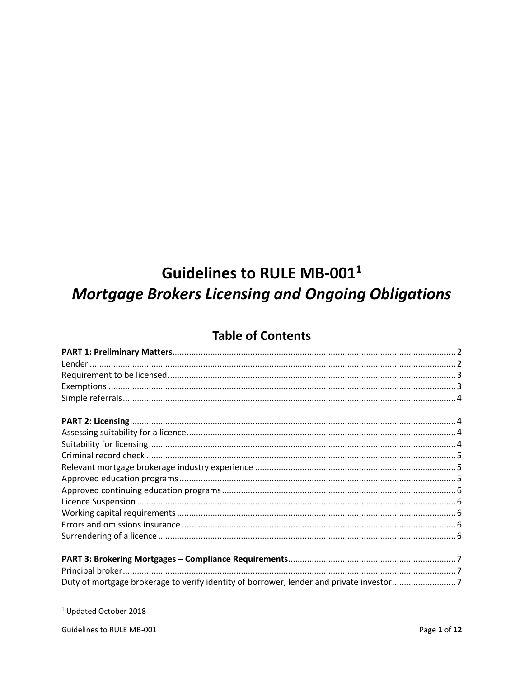# **Guidelines to RULE MB-0011 Mortgage Brokers Licensing and Ongoing Obligations**

# **Table of Contents**

| Duty of mortgage brokerage to verify identity of borrower, lender and private investor7 |  |
|-----------------------------------------------------------------------------------------|--|

 $^1$  Updated October 2018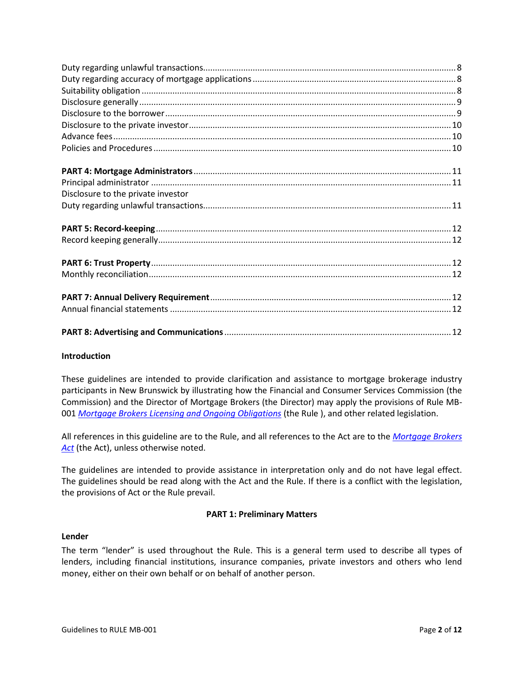| Disclosure to the private investor |  |
|------------------------------------|--|
|                                    |  |
|                                    |  |
|                                    |  |
|                                    |  |
|                                    |  |
|                                    |  |
|                                    |  |
|                                    |  |
|                                    |  |
|                                    |  |

# **Introduction**

These guidelines are intended to provide clarification and assistance to mortgage brokerage industry participants in New Brunswick by illustrating how the Financial and Consumer Services Commission (the Commission) and the Director of Mortgage Brokers (the Director) may apply the provisions of Rule MB-001 *[Mortgage Brokers Licensing and Ongoing Obligations](https://www.fcnb.ca/sites/default/files/2020-07/Rule%20MB-001%20Licensing%20and%20Ongoing%20Obligations%20%28Consolidated%20up%20to%201%20October%202018%29.pdf)* (the Rule ), and other related legislation.

All references in this guideline are to the Rule, and all references to the Act are to the *[Mortgage Brokers](https://laws.gnb.ca/en/ShowPdf/cs/2014-c.41.pdf)  [Act](https://laws.gnb.ca/en/ShowPdf/cs/2014-c.41.pdf)* (the Act), unless otherwise noted.

The guidelines are intended to provide assistance in interpretation only and do not have legal effect. The guidelines should be read along with the Act and the Rule. If there is a conflict with the legislation, the provisions of Act or the Rule prevail.

# **PART 1: Preliminary Matters**

# <span id="page-1-1"></span><span id="page-1-0"></span>**Lender**

The term "lender" is used throughout the Rule. This is a general term used to describe all types of lenders, including financial institutions, insurance companies, private investors and others who lend money, either on their own behalf or on behalf of another person.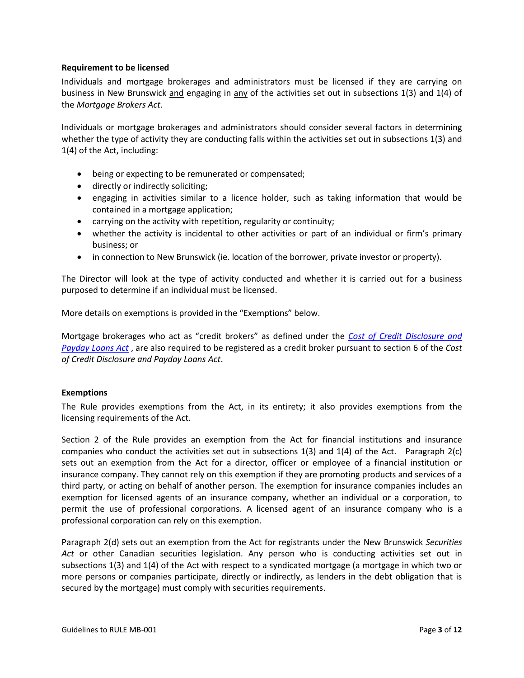### <span id="page-2-0"></span>**Requirement to be licensed**

Individuals and mortgage brokerages and administrators must be licensed if they are carrying on business in New Brunswick and engaging in any of the activities set out in subsections 1(3) and 1(4) of the *Mortgage Brokers Act*.

Individuals or mortgage brokerages and administrators should consider several factors in determining whether the type of activity they are conducting falls within the activities set out in subsections 1(3) and 1(4) of the Act, including:

- being or expecting to be remunerated or compensated;
- directly or indirectly soliciting;
- engaging in activities similar to a licence holder, such as taking information that would be contained in a mortgage application;
- carrying on the activity with repetition, regularity or continuity;
- whether the activity is incidental to other activities or part of an individual or firm's primary business; or
- in connection to New Brunswick (ie. location of the borrower, private investor or property).

The Director will look at the type of activity conducted and whether it is carried out for a business purposed to determine if an individual must be licensed.

More details on exemptions is provided in the "Exemptions" below.

Mortgage brokerages who act as "credit brokers" as defined under the *[Cost of Credit Disclosure and](https://laws.gnb.ca/en/ShowPdf/cs/C-28.3.pdf)  [Payday Loans Act](https://laws.gnb.ca/en/ShowPdf/cs/C-28.3.pdf)* , are also required to be registered as a credit broker pursuant to section 6 of the *Cost of Credit Disclosure and Payday Loans Act*.

# <span id="page-2-1"></span>**Exemptions**

The Rule provides exemptions from the Act, in its entirety; it also provides exemptions from the licensing requirements of the Act.

Section 2 of the Rule provides an exemption from the Act for financial institutions and insurance companies who conduct the activities set out in subsections 1(3) and 1(4) of the Act. Paragraph 2(c) sets out an exemption from the Act for a director, officer or employee of a financial institution or insurance company. They cannot rely on this exemption if they are promoting products and services of a third party, or acting on behalf of another person. The exemption for insurance companies includes an exemption for licensed agents of an insurance company, whether an individual or a corporation, to permit the use of professional corporations. A licensed agent of an insurance company who is a professional corporation can rely on this exemption.

Paragraph 2(d) sets out an exemption from the Act for registrants under the New Brunswick *Securities Act* or other Canadian securities legislation. Any person who is conducting activities set out in subsections 1(3) and 1(4) of the Act with respect to a syndicated mortgage (a mortgage in which two or more persons or companies participate, directly or indirectly, as lenders in the debt obligation that is secured by the mortgage) must comply with securities requirements.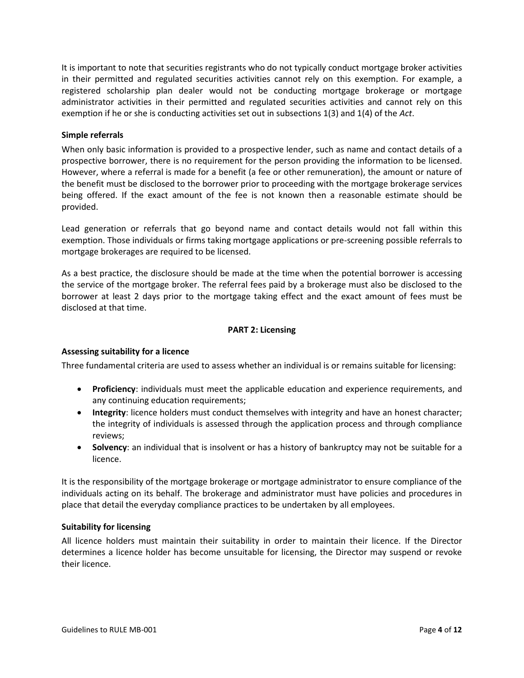It is important to note that securities registrants who do not typically conduct mortgage broker activities in their permitted and regulated securities activities cannot rely on this exemption. For example, a registered scholarship plan dealer would not be conducting mortgage brokerage or mortgage administrator activities in their permitted and regulated securities activities and cannot rely on this exemption if he or she is conducting activities set out in subsections 1(3) and 1(4) of the *Act*.

# <span id="page-3-0"></span>**Simple referrals**

When only basic information is provided to a prospective lender, such as name and contact details of a prospective borrower, there is no requirement for the person providing the information to be licensed. However, where a referral is made for a benefit (a fee or other remuneration), the amount or nature of the benefit must be disclosed to the borrower prior to proceeding with the mortgage brokerage services being offered. If the exact amount of the fee is not known then a reasonable estimate should be provided.

Lead generation or referrals that go beyond name and contact details would not fall within this exemption. Those individuals or firms taking mortgage applications or pre-screening possible referrals to mortgage brokerages are required to be licensed.

As a best practice, the disclosure should be made at the time when the potential borrower is accessing the service of the mortgage broker. The referral fees paid by a brokerage must also be disclosed to the borrower at least 2 days prior to the mortgage taking effect and the exact amount of fees must be disclosed at that time.

# **PART 2: Licensing**

#### <span id="page-3-2"></span><span id="page-3-1"></span>**Assessing suitability for a licence**

Three fundamental criteria are used to assess whether an individual is or remains suitable for licensing:

- **Proficiency**: individuals must meet the applicable education and experience requirements, and any continuing education requirements;
- **Integrity**: licence holders must conduct themselves with integrity and have an honest character; the integrity of individuals is assessed through the application process and through compliance reviews;
- **Solvency**: an individual that is insolvent or has a history of bankruptcy may not be suitable for a licence.

It is the responsibility of the mortgage brokerage or mortgage administrator to ensure compliance of the individuals acting on its behalf. The brokerage and administrator must have policies and procedures in place that detail the everyday compliance practices to be undertaken by all employees.

### <span id="page-3-3"></span>**Suitability for licensing**

All licence holders must maintain their suitability in order to maintain their licence. If the Director determines a licence holder has become unsuitable for licensing, the Director may suspend or revoke their licence.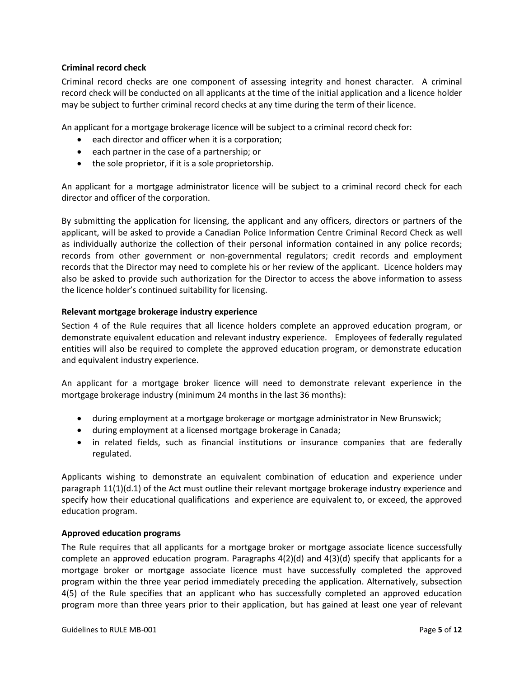# <span id="page-4-0"></span>**Criminal record check**

Criminal record checks are one component of assessing integrity and honest character. A criminal record check will be conducted on all applicants at the time of the initial application and a licence holder may be subject to further criminal record checks at any time during the term of their licence.

An applicant for a mortgage brokerage licence will be subject to a criminal record check for:

- each director and officer when it is a corporation;
- each partner in the case of a partnership; or
- the sole proprietor, if it is a sole proprietorship.

An applicant for a mortgage administrator licence will be subject to a criminal record check for each director and officer of the corporation.

By submitting the application for licensing, the applicant and any officers, directors or partners of the applicant, will be asked to provide a Canadian Police Information Centre Criminal Record Check as well as individually authorize the collection of their personal information contained in any police records; records from other government or non-governmental regulators; credit records and employment records that the Director may need to complete his or her review of the applicant. Licence holders may also be asked to provide such authorization for the Director to access the above information to assess the licence holder's continued suitability for licensing.

# <span id="page-4-1"></span>**Relevant mortgage brokerage industry experience**

Section 4 of the Rule requires that all licence holders complete an approved education program, or demonstrate equivalent education and relevant industry experience. Employees of federally regulated entities will also be required to complete the approved education program, or demonstrate education and equivalent industry experience.

An applicant for a mortgage broker licence will need to demonstrate relevant experience in the mortgage brokerage industry (minimum 24 months in the last 36 months):

- during employment at a mortgage brokerage or mortgage administrator in New Brunswick;
- during employment at a licensed mortgage brokerage in Canada;
- in related fields, such as financial institutions or insurance companies that are federally regulated.

Applicants wishing to demonstrate an equivalent combination of education and experience under paragraph 11(1)(d.1) of the Act must outline their relevant mortgage brokerage industry experience and specify how their educational qualifications and experience are equivalent to, or exceed, the approved education program.

#### <span id="page-4-2"></span>**Approved education programs**

The Rule requires that all applicants for a mortgage broker or mortgage associate licence successfully complete an approved education program. Paragraphs 4(2)(d) and 4(3)(d) specify that applicants for a mortgage broker or mortgage associate licence must have successfully completed the approved program within the three year period immediately preceding the application. Alternatively, subsection 4(5) of the Rule specifies that an applicant who has successfully completed an approved education program more than three years prior to their application, but has gained at least one year of relevant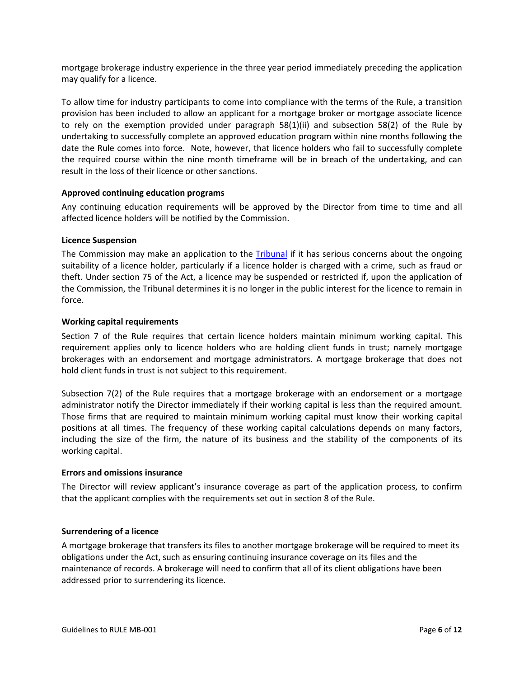mortgage brokerage industry experience in the three year period immediately preceding the application may qualify for a licence.

To allow time for industry participants to come into compliance with the terms of the Rule, a transition provision has been included to allow an applicant for a mortgage broker or mortgage associate licence to rely on the exemption provided under paragraph 58(1)(ii) and subsection 58(2) of the Rule by undertaking to successfully complete an approved education program within nine months following the date the Rule comes into force. Note, however, that licence holders who fail to successfully complete the required course within the nine month timeframe will be in breach of the undertaking, and can result in the loss of their licence or other sanctions.

# <span id="page-5-0"></span>**Approved continuing education programs**

Any continuing education requirements will be approved by the Director from time to time and all affected licence holders will be notified by the Commission.

# <span id="page-5-1"></span>**Licence Suspension**

The Commission may make an application to the [Tribunal](http://fcnbtribunal.ca/splash.html) if it has serious concerns about the ongoing suitability of a licence holder, particularly if a licence holder is charged with a crime, such as fraud or theft. Under section 75 of the Act, a licence may be suspended or restricted if, upon the application of the Commission, the Tribunal determines it is no longer in the public interest for the licence to remain in force.

# <span id="page-5-2"></span>**Working capital requirements**

Section 7 of the Rule requires that certain licence holders maintain minimum working capital. This requirement applies only to licence holders who are holding client funds in trust; namely mortgage brokerages with an endorsement and mortgage administrators. A mortgage brokerage that does not hold client funds in trust is not subject to this requirement.

Subsection 7(2) of the Rule requires that a mortgage brokerage with an endorsement or a mortgage administrator notify the Director immediately if their working capital is less than the required amount. Those firms that are required to maintain minimum working capital must know their working capital positions at all times. The frequency of these working capital calculations depends on many factors, including the size of the firm, the nature of its business and the stability of the components of its working capital.

#### <span id="page-5-3"></span>**Errors and omissions insurance**

The Director will review applicant's insurance coverage as part of the application process, to confirm that the applicant complies with the requirements set out in section 8 of the Rule.

# <span id="page-5-4"></span>**Surrendering of a licence**

A mortgage brokerage that transfers its files to another mortgage brokerage will be required to meet its obligations under the Act, such as ensuring continuing insurance coverage on its files and the maintenance of records. A brokerage will need to confirm that all of its client obligations have been addressed prior to surrendering its licence.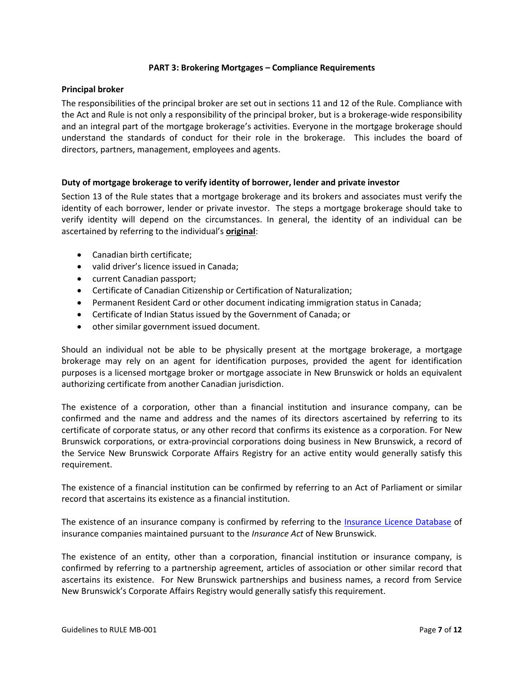#### **PART 3: Brokering Mortgages – Compliance Requirements**

#### <span id="page-6-1"></span><span id="page-6-0"></span>**Principal broker**

The responsibilities of the principal broker are set out in sections 11 and 12 of the Rule. Compliance with the Act and Rule is not only a responsibility of the principal broker, but is a brokerage-wide responsibility and an integral part of the mortgage brokerage's activities. Everyone in the mortgage brokerage should understand the standards of conduct for their role in the brokerage. This includes the board of directors, partners, management, employees and agents.

#### <span id="page-6-2"></span>**Duty of mortgage brokerage to verify identity of borrower, lender and private investor**

Section 13 of the Rule states that a mortgage brokerage and its brokers and associates must verify the identity of each borrower, lender or private investor. The steps a mortgage brokerage should take to verify identity will depend on the circumstances. In general, the identity of an individual can be ascertained by referring to the individual's **original**:

- Canadian birth certificate;
- valid driver's licence issued in Canada;
- current Canadian passport;
- Certificate of Canadian Citizenship or Certification of Naturalization;
- Permanent Resident Card or other document indicating immigration status in Canada;
- Certificate of Indian Status issued by the Government of Canada; or
- other similar government issued document.

Should an individual not be able to be physically present at the mortgage brokerage, a mortgage brokerage may rely on an agent for identification purposes, provided the agent for identification purposes is a licensed mortgage broker or mortgage associate in New Brunswick or holds an equivalent authorizing certificate from another Canadian jurisdiction.

The existence of a corporation, other than a financial institution and insurance company, can be confirmed and the name and address and the names of its directors ascertained by referring to its certificate of corporate status, or any other record that confirms its existence as a corporation. For New Brunswick corporations, or extra-provincial corporations doing business in New Brunswick, a record of the Service New Brunswick Corporate Affairs Registry for an active entity would generally satisfy this requirement.

The existence of a financial institution can be confirmed by referring to an Act of Parliament or similar record that ascertains its existence as a financial institution.

The existence of an insurance company is confirmed by referring to the [Insurance Licence Database](http://www.fcnb.ca/search-the-insurance-licence-database.html) of insurance companies maintained pursuant to the *Insurance Act* of New Brunswick.

The existence of an entity, other than a corporation, financial institution or insurance company, is confirmed by referring to a partnership agreement, articles of association or other similar record that ascertains its existence. For New Brunswick partnerships and business names, a record from Service New Brunswick's Corporate Affairs Registry would generally satisfy this requirement.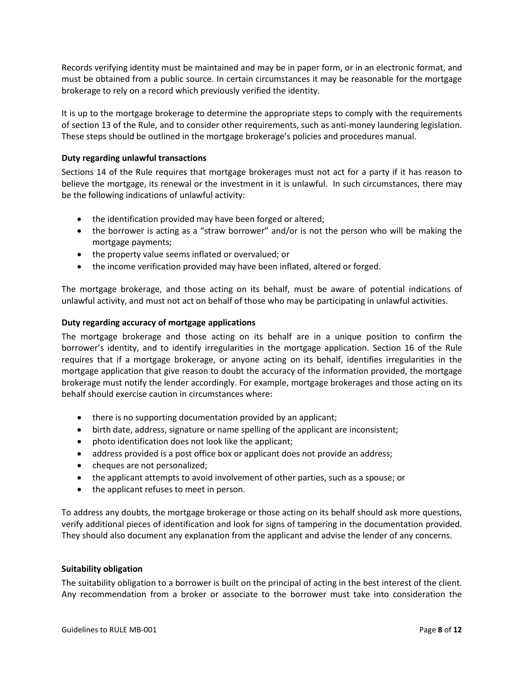Records verifying identity must be maintained and may be in paper form, or in an electronic format, and must be obtained from a public source. In certain circumstances it may be reasonable for the mortgage brokerage to rely on a record which previously verified the identity.

It is up to the mortgage brokerage to determine the appropriate steps to comply with the requirements of section 13 of the Rule, and to consider other requirements, such as anti-money laundering legislation. These steps should be outlined in the mortgage brokerage's policies and procedures manual.

# <span id="page-7-0"></span>**Duty regarding unlawful transactions**

Sections 14 of the Rule requires that mortgage brokerages must not act for a party if it has reason to believe the mortgage, its renewal or the investment in it is unlawful. In such circumstances, there may be the following indications of unlawful activity:

- the identification provided may have been forged or altered;
- the borrower is acting as a "straw borrower" and/or is not the person who will be making the mortgage payments;
- the property value seems inflated or overvalued; or
- the income verification provided may have been inflated, altered or forged.

The mortgage brokerage, and those acting on its behalf, must be aware of potential indications of unlawful activity, and must not act on behalf of those who may be participating in unlawful activities.

# <span id="page-7-1"></span>**Duty regarding accuracy of mortgage applications**

The mortgage brokerage and those acting on its behalf are in a unique position to confirm the borrower's identity, and to identify irregularities in the mortgage application. Section 16 of the Rule requires that if a mortgage brokerage, or anyone acting on its behalf, identifies irregularities in the mortgage application that give reason to doubt the accuracy of the information provided, the mortgage brokerage must notify the lender accordingly. For example, mortgage brokerages and those acting on its behalf should exercise caution in circumstances where:

- there is no supporting documentation provided by an applicant;
- birth date, address, signature or name spelling of the applicant are inconsistent;
- photo identification does not look like the applicant;
- address provided is a post office box or applicant does not provide an address;
- cheques are not personalized;
- the applicant attempts to avoid involvement of other parties, such as a spouse; or
- the applicant refuses to meet in person.

To address any doubts, the mortgage brokerage or those acting on its behalf should ask more questions, verify additional pieces of identification and look for signs of tampering in the documentation provided. They should also document any explanation from the applicant and advise the lender of any concerns.

#### <span id="page-7-2"></span>**Suitability obligation**

The suitability obligation to a borrower is built on the principal of acting in the best interest of the client. Any recommendation from a broker or associate to the borrower must take into consideration the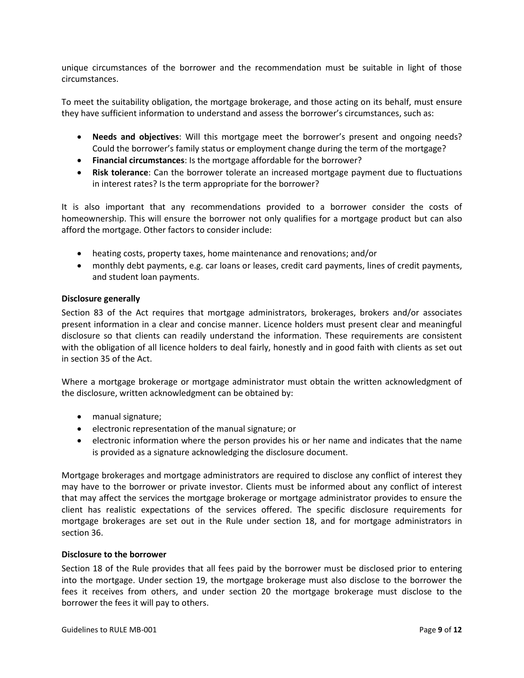unique circumstances of the borrower and the recommendation must be suitable in light of those circumstances.

To meet the suitability obligation, the mortgage brokerage, and those acting on its behalf, must ensure they have sufficient information to understand and assess the borrower's circumstances, such as:

- **Needs and objectives**: Will this mortgage meet the borrower's present and ongoing needs? Could the borrower's family status or employment change during the term of the mortgage?
- **Financial circumstances**: Is the mortgage affordable for the borrower?
- **Risk tolerance**: Can the borrower tolerate an increased mortgage payment due to fluctuations in interest rates? Is the term appropriate for the borrower?

It is also important that any recommendations provided to a borrower consider the costs of homeownership. This will ensure the borrower not only qualifies for a mortgage product but can also afford the mortgage. Other factors to consider include:

- heating costs, property taxes, home maintenance and renovations; and/or
- monthly debt payments, e.g. car loans or leases, credit card payments, lines of credit payments, and student loan payments.

#### <span id="page-8-0"></span>**Disclosure generally**

Section 83 of the Act requires that mortgage administrators, brokerages, brokers and/or associates present information in a clear and concise manner. Licence holders must present clear and meaningful disclosure so that clients can readily understand the information. These requirements are consistent with the obligation of all licence holders to deal fairly, honestly and in good faith with clients as set out in section 35 of the Act.

Where a mortgage brokerage or mortgage administrator must obtain the written acknowledgment of the disclosure, written acknowledgment can be obtained by:

- manual signature;
- electronic representation of the manual signature; or
- electronic information where the person provides his or her name and indicates that the name is provided as a signature acknowledging the disclosure document.

Mortgage brokerages and mortgage administrators are required to disclose any conflict of interest they may have to the borrower or private investor. Clients must be informed about any conflict of interest that may affect the services the mortgage brokerage or mortgage administrator provides to ensure the client has realistic expectations of the services offered. The specific disclosure requirements for mortgage brokerages are set out in the Rule under section 18, and for mortgage administrators in section 36.

#### <span id="page-8-1"></span>**Disclosure to the borrower**

Section 18 of the Rule provides that all fees paid by the borrower must be disclosed prior to entering into the mortgage. Under section 19, the mortgage brokerage must also disclose to the borrower the fees it receives from others, and under section 20 the mortgage brokerage must disclose to the borrower the fees it will pay to others.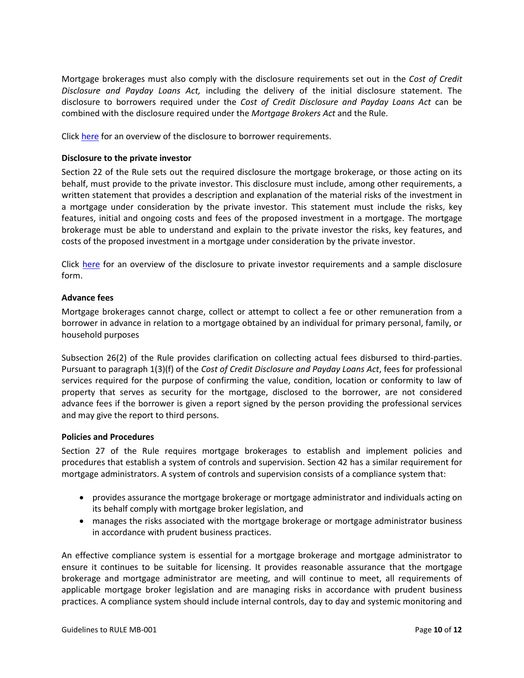Mortgage brokerages must also comply with the disclosure requirements set out in the *Cost of Credit Disclosure and Payday Loans Act,* including the delivery of the initial disclosure statement. The disclosure to borrowers required under the *Cost of Credit Disclosure and Payday Loans Act* can be combined with the disclosure required under the *Mortgage Brokers Act* and the Rule.

<span id="page-9-0"></span>Click [here](https://www.fcnb.ca/en/real-estate/mortgage-brokers/mortgage-broker-disclosure-overview/borrower-disclosure-requirements) for an overview of the disclosure to borrower requirements.

# **Disclosure to the private investor**

Section 22 of the Rule sets out the required disclosure the mortgage brokerage, or those acting on its behalf, must provide to the private investor. This disclosure must include, among other requirements, a written statement that provides a description and explanation of the material risks of the investment in a mortgage under consideration by the private investor. This statement must include the risks, key features, initial and ongoing costs and fees of the proposed investment in a mortgage. The mortgage brokerage must be able to understand and explain to the private investor the risks, key features, and costs of the proposed investment in a mortgage under consideration by the private investor.

Click [here](https://www.fcnb.ca/en/real-estate/mortgage-brokers/mortgage-broker-disclosure-overview/private-investor-disclosure-requirements) for an overview of the disclosure to private investor requirements and a sample disclosure form.

# <span id="page-9-1"></span>**Advance fees**

Mortgage brokerages cannot charge, collect or attempt to collect a fee or other remuneration from a borrower in advance in relation to a mortgage obtained by an individual for primary personal, family, or household purposes

Subsection 26(2) of the Rule provides clarification on collecting actual fees disbursed to third-parties. Pursuant to paragraph 1(3)(f) of the *Cost of Credit Disclosure and Payday Loans Act*, fees for professional services required for the purpose of confirming the value, condition, location or conformity to law of property that serves as security for the mortgage, disclosed to the borrower, are not considered advance fees if the borrower is given a report signed by the person providing the professional services and may give the report to third persons.

#### <span id="page-9-2"></span>**Policies and Procedures**

Section 27 of the Rule requires mortgage brokerages to establish and implement policies and procedures that establish a system of controls and supervision. Section 42 has a similar requirement for mortgage administrators. A system of controls and supervision consists of a compliance system that:

- provides assurance the mortgage brokerage or mortgage administrator and individuals acting on its behalf comply with mortgage broker legislation, and
- manages the risks associated with the mortgage brokerage or mortgage administrator business in accordance with prudent business practices.

An effective compliance system is essential for a mortgage brokerage and mortgage administrator to ensure it continues to be suitable for licensing. It provides reasonable assurance that the mortgage brokerage and mortgage administrator are meeting, and will continue to meet, all requirements of applicable mortgage broker legislation and are managing risks in accordance with prudent business practices. A compliance system should include internal controls, day to day and systemic monitoring and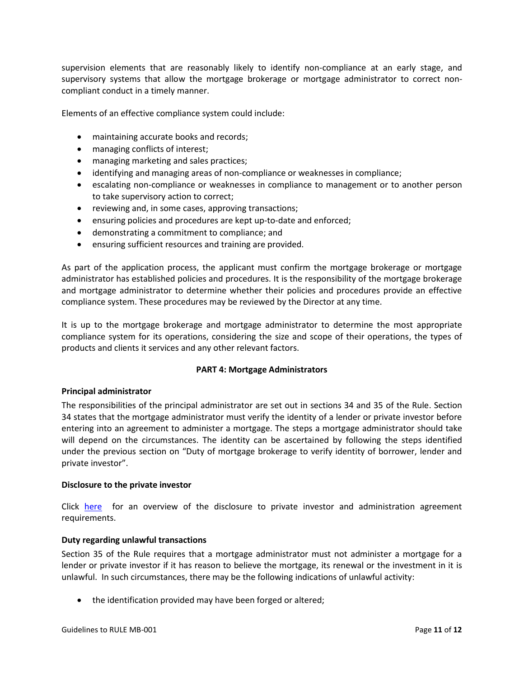supervision elements that are reasonably likely to identify non-compliance at an early stage, and supervisory systems that allow the mortgage brokerage or mortgage administrator to correct noncompliant conduct in a timely manner.

Elements of an effective compliance system could include:

- maintaining accurate books and records;
- managing conflicts of interest;
- managing marketing and sales practices;
- identifying and managing areas of non-compliance or weaknesses in compliance;
- escalating non-compliance or weaknesses in compliance to management or to another person to take supervisory action to correct;
- reviewing and, in some cases, approving transactions;
- ensuring policies and procedures are kept up-to-date and enforced;
- demonstrating a commitment to compliance; and
- ensuring sufficient resources and training are provided.

As part of the application process, the applicant must confirm the mortgage brokerage or mortgage administrator has established policies and procedures. It is the responsibility of the mortgage brokerage and mortgage administrator to determine whether their policies and procedures provide an effective compliance system. These procedures may be reviewed by the Director at any time.

<span id="page-10-0"></span>It is up to the mortgage brokerage and mortgage administrator to determine the most appropriate compliance system for its operations, considering the size and scope of their operations, the types of products and clients it services and any other relevant factors.

#### **PART 4: Mortgage Administrators**

#### <span id="page-10-1"></span>**Principal administrator**

The responsibilities of the principal administrator are set out in sections 34 and 35 of the Rule. Section 34 states that the mortgage administrator must verify the identity of a lender or private investor before entering into an agreement to administer a mortgage. The steps a mortgage administrator should take will depend on the circumstances. The identity can be ascertained by following the steps identified under the previous section on "Duty of mortgage brokerage to verify identity of borrower, lender and private investor".

#### <span id="page-10-2"></span>**Disclosure to the private investor**

Click [here](https://www.fcnb.ca/en/real-estate/mortgage-brokers/mortgage-broker-disclosure-overview/private-investor-disclosure-requirements) for an overview of the disclosure to private investor and administration agreement requirements.

#### **Duty regarding unlawful transactions**

Section 35 of the Rule requires that a mortgage administrator must not administer a mortgage for a lender or private investor if it has reason to believe the mortgage, its renewal or the investment in it is unlawful. In such circumstances, there may be the following indications of unlawful activity:

• the identification provided may have been forged or altered;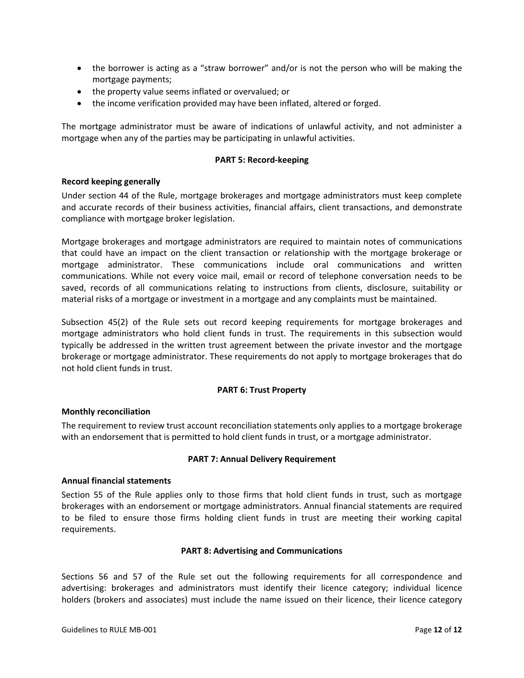- the borrower is acting as a "straw borrower" and/or is not the person who will be making the mortgage payments;
- the property value seems inflated or overvalued; or
- the income verification provided may have been inflated, altered or forged.

<span id="page-11-0"></span>The mortgage administrator must be aware of indications of unlawful activity, and not administer a mortgage when any of the parties may be participating in unlawful activities.

# **PART 5: Record-keeping**

# <span id="page-11-1"></span>**Record keeping generally**

Under section 44 of the Rule, mortgage brokerages and mortgage administrators must keep complete and accurate records of their business activities, financial affairs, client transactions, and demonstrate compliance with mortgage broker legislation.

Mortgage brokerages and mortgage administrators are required to maintain notes of communications that could have an impact on the client transaction or relationship with the mortgage brokerage or mortgage administrator. These communications include oral communications and written communications. While not every voice mail, email or record of telephone conversation needs to be saved, records of all communications relating to instructions from clients, disclosure, suitability or material risks of a mortgage or investment in a mortgage and any complaints must be maintained.

Subsection 45(2) of the Rule sets out record keeping requirements for mortgage brokerages and mortgage administrators who hold client funds in trust. The requirements in this subsection would typically be addressed in the written trust agreement between the private investor and the mortgage brokerage or mortgage administrator. These requirements do not apply to mortgage brokerages that do not hold client funds in trust.

# **PART 6: Trust Property**

#### <span id="page-11-3"></span><span id="page-11-2"></span>**Monthly reconciliation**

<span id="page-11-4"></span>The requirement to review trust account reconciliation statements only applies to a mortgage brokerage with an endorsement that is permitted to hold client funds in trust, or a mortgage administrator.

#### **PART 7: Annual Delivery Requirement**

#### <span id="page-11-5"></span>**Annual financial statements**

Section 55 of the Rule applies only to those firms that hold client funds in trust, such as mortgage brokerages with an endorsement or mortgage administrators. Annual financial statements are required to be filed to ensure those firms holding client funds in trust are meeting their working capital requirements.

#### <span id="page-11-6"></span>**PART 8: Advertising and Communications**

Sections 56 and 57 of the Rule set out the following requirements for all correspondence and advertising: brokerages and administrators must identify their licence category; individual licence holders (brokers and associates) must include the name issued on their licence, their licence category